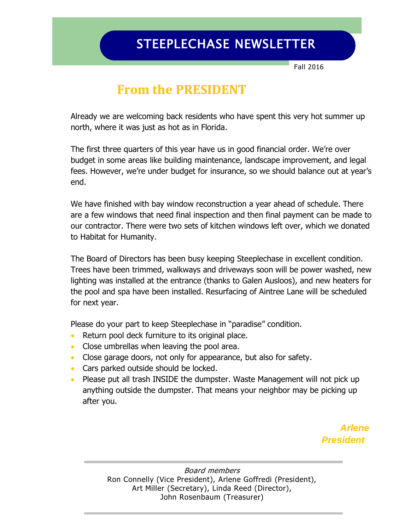## STEEPLECHASE NEWSLETTER

Fall 2016

#### **From the PRESIDENT**

Already we are welcoming back residents who have spent this very hot summer up north, where it was just as hot as in Florida.

The first three quarters of this year have us in good financial order. We're over budget in some areas like building maintenance, landscape improvement, and legal fees. However, we're under budget for insurance, so we should balance out at year's end.

We have finished with bay window reconstruction a year ahead of schedule. There are a few windows that need final inspection and then final payment can be made to our contractor. There were two sets of kitchen windows left over, which we donated to Habitat for Humanity.

The Board of Directors has been busy keeping Steeplechase in excellent condition. Trees have been trimmed, walkways and driveways soon will be power washed, new lighting was installed at the entrance (thanks to Galen Ausloos), and new heaters for the pool and spa have been installed. Resurfacing of Aintree Lane will be scheduled for next year.

Please do your part to keep Steeplechase in "paradise" condition.

- Return pool deck furniture to its original place.
- Close umbrellas when leaving the pool area.
- Close garage doors, not only for appearance, but also for safety.
- Cars parked outside should be locked.
- Please put all trash INSIDE the dumpster. Waste Management will not pick up anything outside the dumpster. That means your neighbor may be picking up after you.

 *Arlene President*

> Board members Ron Connelly (Vice President), Arlene Goffredi (President), Art Miller (Secretary), Linda Reed (Director), John Rosenbaum (Treasurer)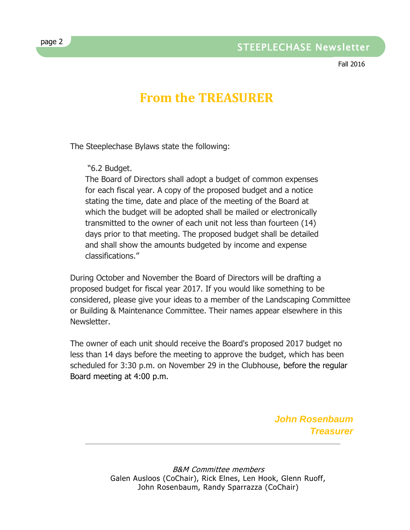Fall 2016

# **From the TREASURER**

The Steeplechase Bylaws state the following:

"6.2 Budget.

The Board of Directors shall adopt a budget of common expenses for each fiscal year. A copy of the proposed budget and a notice stating the time, date and place of the meeting of the Board at which the budget will be adopted shall be mailed or electronically transmitted to the owner of each unit not less than fourteen (14) days prior to that meeting. The proposed budget shall be detailed and shall show the amounts budgeted by income and expense classifications."

During October and November the Board of Directors will be drafting a proposed budget for fiscal year 2017. If you would like something to be considered, please give your ideas to a member of the Landscaping Committee or Building & Maintenance Committee. Their names appear elsewhere in this Newsletter.

The owner of each unit should receive the Board's proposed 2017 budget no less than 14 days before the meeting to approve the budget, which has been scheduled for 3:30 p.m. on November 29 in the Clubhouse, before the regular Board meeting at 4:00 p.m.

> *John Rosenbaum Treasurer*

B&M Committee members Galen Ausloos (CoChair), Rick Elnes, Len Hook, Glenn Ruoff, John Rosenbaum, Randy Sparrazza (CoChair)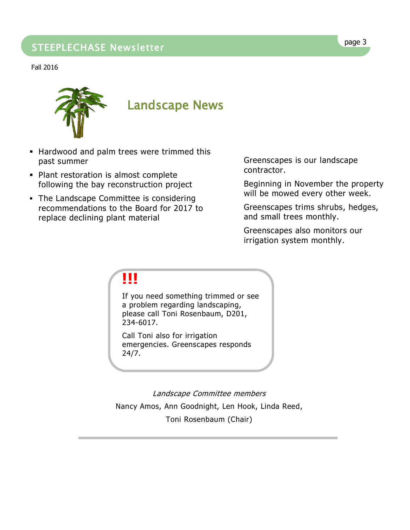## page 3 STEEPLECHASE Newsletter

Fall 2016



- **Hardwood and palm trees were trimmed this** past summer
- **Plant restoration is almost complete** following the bay reconstruction project
- The Landscape Committee is considering recommendations to the Board for 2017 to replace declining plant material

Greenscapes is our landscape contractor.

Beginning in November the property will be mowed every other week.

Greenscapes trims shrubs, hedges, and small trees monthly.

Greenscapes also monitors our irrigation system monthly.

## **!!!**

If you need something trimmed or see a problem regarding landscaping, please call Toni Rosenbaum, D201, 234-6017.

Call Toni also for irrigation emergencies. Greenscapes responds 24/7.

Landscape Committee members Nancy Amos, Ann Goodnight, Len Hook, Linda Reed, Toni Rosenbaum (Chair)